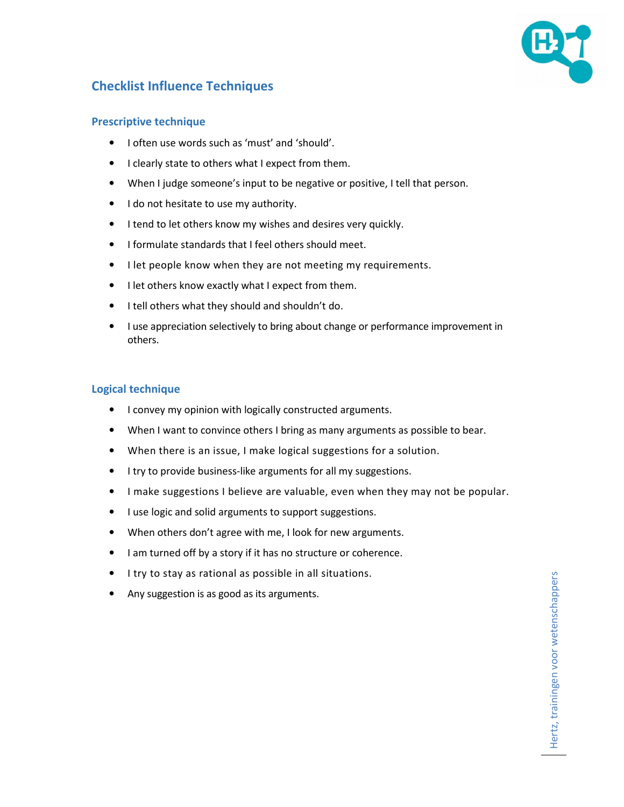

# **Checklist Influence Techniques**

### **Prescriptive technique**

- I often use words such as 'must' and 'should'.
- I clearly state to others what I expect from them.
- When I judge someone's input to be negative or positive, I tell that person.
- I do not hesitate to use my authority.
- I tend to let others know my wishes and desires very quickly.
- I formulate standards that I feel others should meet.
- I let people know when they are not meeting my requirements.
- I let others know exactly what I expect from them.
- I tell others what they should and shouldn't do.
- I use appreciation selectively to bring about change or performance improvement in others.

### **Logical technique**

- I convey my opinion with logically constructed arguments.
- When I want to convince others I bring as many arguments as possible to bear.
- When there is an issue, I make logical suggestions for a solution.
- I try to provide business-like arguments for all my suggestions.
- I make suggestions I believe are valuable, even when they may not be popular.
- I use logic and solid arguments to support suggestions.
- When others don't agree with me, I look for new arguments.
- I am turned off by a story if it has no structure or coherence.
- I try to stay as rational as possible in all situations.
- Any suggestion is as good as its arguments.